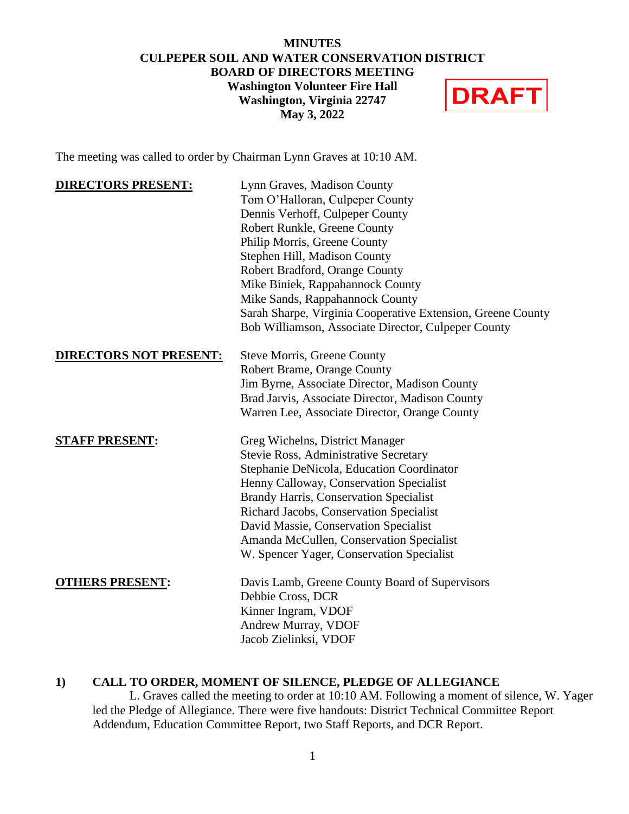#### **MINUTES CULPEPER SOIL AND WATER CONSERVATION DISTRICT BOARD OF DIRECTORS MEETING Washington Volunteer Fire Hall DRAFT Washington, Virginia 22747 May 3, 2022**

The meeting was called to order by Chairman Lynn Graves at 10:10 AM.

| <b>DIRECTORS PRESENT:</b>     | Lynn Graves, Madison County                                 |
|-------------------------------|-------------------------------------------------------------|
|                               | Tom O'Halloran, Culpeper County                             |
|                               | Dennis Verhoff, Culpeper County                             |
|                               | Robert Runkle, Greene County                                |
|                               | Philip Morris, Greene County                                |
|                               | Stephen Hill, Madison County                                |
|                               | Robert Bradford, Orange County                              |
|                               | Mike Biniek, Rappahannock County                            |
|                               | Mike Sands, Rappahannock County                             |
|                               | Sarah Sharpe, Virginia Cooperative Extension, Greene County |
|                               | Bob Williamson, Associate Director, Culpeper County         |
| <b>DIRECTORS NOT PRESENT:</b> | <b>Steve Morris, Greene County</b>                          |
|                               | Robert Brame, Orange County                                 |
|                               | Jim Byrne, Associate Director, Madison County               |
|                               | Brad Jarvis, Associate Director, Madison County             |
|                               | Warren Lee, Associate Director, Orange County               |
| <b>STAFF PRESENT:</b>         | Greg Wichelns, District Manager                             |
|                               | Stevie Ross, Administrative Secretary                       |
|                               | Stephanie DeNicola, Education Coordinator                   |
|                               | Henny Calloway, Conservation Specialist                     |
|                               | <b>Brandy Harris, Conservation Specialist</b>               |
|                               | Richard Jacobs, Conservation Specialist                     |
|                               | David Massie, Conservation Specialist                       |
|                               | Amanda McCullen, Conservation Specialist                    |
|                               | W. Spencer Yager, Conservation Specialist                   |
| <b>OTHERS PRESENT:</b>        | Davis Lamb, Greene County Board of Supervisors              |
|                               | Debbie Cross, DCR                                           |
|                               | Kinner Ingram, VDOF                                         |
|                               | Andrew Murray, VDOF                                         |
|                               | Jacob Zielinksi, VDOF                                       |
|                               |                                                             |

## **1) CALL TO ORDER, MOMENT OF SILENCE, PLEDGE OF ALLEGIANCE**

L. Graves called the meeting to order at 10:10 AM. Following a moment of silence, W. Yager led the Pledge of Allegiance. There were five handouts: District Technical Committee Report Addendum, Education Committee Report, two Staff Reports, and DCR Report.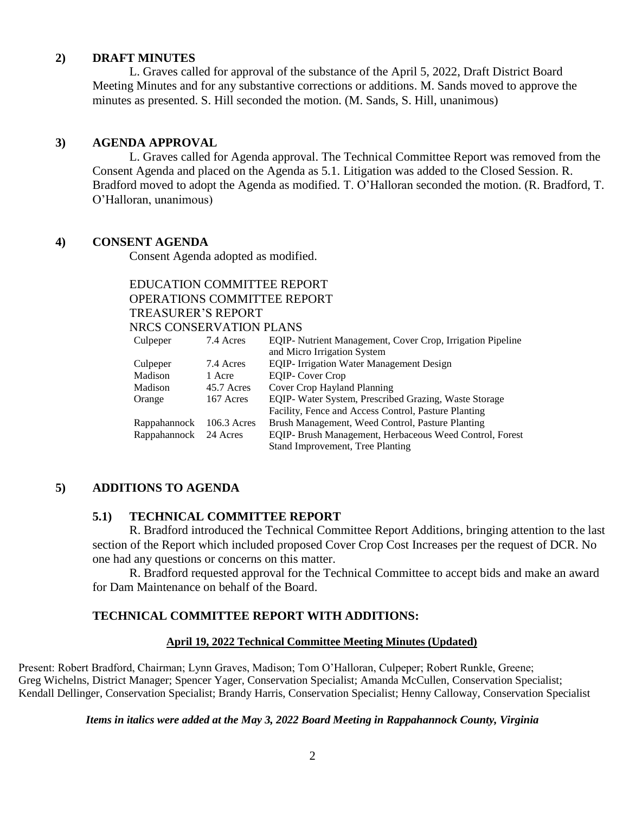### **2) DRAFT MINUTES**

L. Graves called for approval of the substance of the April 5, 2022, Draft District Board Meeting Minutes and for any substantive corrections or additions. M. Sands moved to approve the minutes as presented. S. Hill seconded the motion. (M. Sands, S. Hill, unanimous)

### **3) AGENDA APPROVAL**

L. Graves called for Agenda approval. The Technical Committee Report was removed from the Consent Agenda and placed on the Agenda as 5.1. Litigation was added to the Closed Session. R. Bradford moved to adopt the Agenda as modified. T. O'Halloran seconded the motion. (R. Bradford, T. O'Halloran, unanimous)

### **4) CONSENT AGENDA**

Consent Agenda adopted as modified.

# EDUCATION COMMITTEE REPORT OPERATIONS COMMITTEE REPORT TREASURER'S REPORT NRCS CONSERVATION PLANS

| Culpeper                 | 7.4 Acres  | EQIP- Nutrient Management, Cover Crop, Irrigation Pipeline |
|--------------------------|------------|------------------------------------------------------------|
|                          |            | and Micro Irrigation System                                |
| Culpeper                 | 7.4 Acres  | <b>EQIP-</b> Irrigation Water Management Design            |
| Madison                  | 1 Acre     | <b>EQIP-Cover Crop</b>                                     |
| Madison                  | 45.7 Acres | Cover Crop Hayland Planning                                |
| Orange                   | 167 Acres  | EQIP-Water System, Prescribed Grazing, Waste Storage       |
|                          |            | Facility, Fence and Access Control, Pasture Planting       |
| Rappahannock 106.3 Acres |            | Brush Management, Weed Control, Pasture Planting           |
| Rappahannock 24 Acres    |            | EQIP- Brush Management, Herbaceous Weed Control, Forest    |
|                          |            | Stand Improvement, Tree Planting                           |

# **5) ADDITIONS TO AGENDA**

## **5.1) TECHNICAL COMMITTEE REPORT**

R. Bradford introduced the Technical Committee Report Additions, bringing attention to the last section of the Report which included proposed Cover Crop Cost Increases per the request of DCR. No one had any questions or concerns on this matter.

R. Bradford requested approval for the Technical Committee to accept bids and make an award for Dam Maintenance on behalf of the Board.

## **TECHNICAL COMMITTEE REPORT WITH ADDITIONS:**

### **April 19, 2022 Technical Committee Meeting Minutes (Updated)**

Present: Robert Bradford, Chairman; Lynn Graves, Madison; Tom O'Halloran, Culpeper; Robert Runkle, Greene; Greg Wichelns, District Manager; Spencer Yager, Conservation Specialist; Amanda McCullen, Conservation Specialist; Kendall Dellinger, Conservation Specialist; Brandy Harris, Conservation Specialist; Henny Calloway, Conservation Specialist

#### *Items in italics were added at the May 3, 2022 Board Meeting in Rappahannock County, Virginia*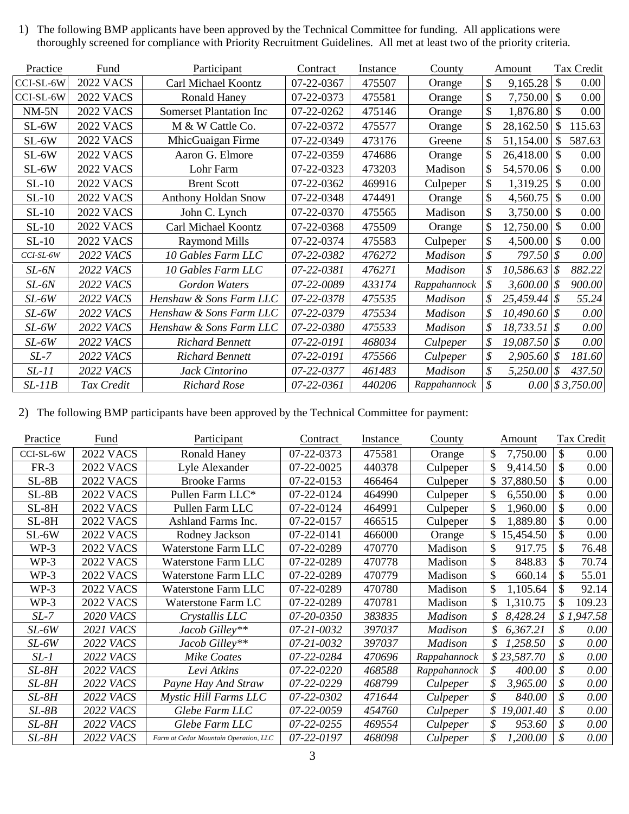1) The following BMP applicants have been approved by the Technical Committee for funding. All applications were thoroughly screened for compliance with Priority Recruitment Guidelines. All met at least two of the priority criteria.

| Practice  | Fund             | Participant                    | Contract   | <b>Instance</b> | County         |               | Amount           |              | Tax Credit                                          |
|-----------|------------------|--------------------------------|------------|-----------------|----------------|---------------|------------------|--------------|-----------------------------------------------------|
| CCI-SL-6W | <b>2022 VACS</b> | Carl Michael Koontz            | 07-22-0367 | 475507          | Orange         | $\mathcal{S}$ | 9,165.28         | $\sqrt{3}$   | 0.00                                                |
| CCI-SL-6W | <b>2022 VACS</b> | <b>Ronald Haney</b>            | 07-22-0373 | 475581          | Orange         | $\mathcal{S}$ | $7,750.00$ \$    |              | 0.00                                                |
| $NM-5N$   | <b>2022 VACS</b> | <b>Somerset Plantation Inc</b> | 07-22-0262 | 475146          | Orange         | $\mathcal{S}$ | $1,876.80$ \ \\$ |              | 0.00                                                |
| SL-6W     | <b>2022 VACS</b> | M & W Cattle Co.               | 07-22-0372 | 475577          | Orange         | \$            | $28,162.50$ \$   |              | 115.63                                              |
| SL-6W     | <b>2022 VACS</b> | MhicGuaigan Firme              | 07-22-0349 | 473176          | Greene         |               | 51,154.00        | <sup>S</sup> | 587.63                                              |
| $SL-6W$   | <b>2022 VACS</b> | Aaron G. Elmore                | 07-22-0359 | 474686          | Orange         | \$.           | $26,418.00$ \\$  |              | 0.00                                                |
| SL-6W     | <b>2022 VACS</b> | Lohr Farm                      | 07-22-0323 | 473203          | Madison        | S             | 54,570.06   \$   |              | 0.00                                                |
| $SL-10$   | <b>2022 VACS</b> | <b>Brent Scott</b>             | 07-22-0362 | 469916          | Culpeper       | \$            | $1,319.25$ \\$   |              | 0.00                                                |
| $SL-10$   | <b>2022 VACS</b> | <b>Anthony Holdan Snow</b>     | 07-22-0348 | 474491          | Orange         | \$            | $4,560.75$ \\$   |              | 0.00                                                |
| $SL-10$   | <b>2022 VACS</b> | John C. Lynch                  | 07-22-0370 | 475565          | Madison        | \$            | $3,750.00$ \\$   |              | 0.00                                                |
| $SL-10$   | <b>2022 VACS</b> | Carl Michael Koontz            | 07-22-0368 | 475509          | Orange         | $\mathcal{S}$ | $12,750.00$ \\$  |              | 0.00                                                |
| $SL-10$   | <b>2022 VACS</b> | <b>Raymond Mills</b>           | 07-22-0374 | 475583          | Culpeper       | \$            | $4,500.00$ \ \\$ |              | 0.00                                                |
| CCI-SL-6W | <b>2022 VACS</b> | 10 Gables Farm LLC             | 07-22-0382 | 476272          | Madison        |               | $797.50$ \\$     |              | 0.00                                                |
| SL-6N     | 2022 VACS        | 10 Gables Farm LLC             | 07-22-0381 | 476271          | Madison        | \$            | $10,586.63$ \$   |              | 882.22                                              |
| SL-6N     | <b>2022 VACS</b> | Gordon Waters                  | 07-22-0089 | 433174          | Rappahannock   | \$            | $3,600.00$ \$    |              | 900.00                                              |
| $SL-6W$   | 2022 VACS        | Henshaw & Sons Farm LLC        | 07-22-0378 | 475535          | Madison        |               | $25,459.44$ \$   |              | 55.24                                               |
| $SL-6W$   | 2022 VACS        | Henshaw & Sons Farm LLC        | 07-22-0379 | 475534          | <b>Madison</b> |               | $10,490.60$ \$   |              | 0.00                                                |
| $SL-6W$   | 2022 VACS        | Henshaw & Sons Farm LLC        | 07-22-0380 | 475533          | <b>Madison</b> | \$            | $18,733.51$ \$   |              | 0.00                                                |
| $SL-6W$   | 2022 VACS        | <b>Richard Bennett</b>         | 07-22-0191 | 468034          | Culpeper       | \$            | $19,087.50$ \$   |              | 0.00                                                |
| $SL-7$    | 2022 VACS        | <b>Richard Bennett</b>         | 07-22-0191 | 475566          | Culpeper       |               | $2,905.60$ \$    |              | 181.60                                              |
| $SL-11$   | 2022 VACS        | Jack Cintorino                 | 07-22-0377 | 461483          | <b>Madison</b> | \$            | 5,250.00         | 8            | 437.50                                              |
| $SL-11B$  | Tax Credit       | Richard Rose                   | 07-22-0361 | 440206          | Rappahannock   | \$            |                  |              | $0.00 \, \vert \text{\textsterling} 3,750.00 \vert$ |

2) The following BMP participants have been approved by the Technical Committee for payment:

| Practice  | Fund             | Participant                           | Contract   | Instance | County         | Amount          | Tax Credit     |
|-----------|------------------|---------------------------------------|------------|----------|----------------|-----------------|----------------|
| CCI-SL-6W | <b>2022 VACS</b> | <b>Ronald Haney</b>                   | 07-22-0373 | 475581   | Orange         | \$<br>7,750.00  | 0.00           |
| $FR-3$    | <b>2022 VACS</b> | Lyle Alexander                        | 07-22-0025 | 440378   | Culpeper       | \$<br>9,414.50  | 0.00           |
| $SL-8B$   | <b>2022 VACS</b> | <b>Brooke Farms</b>                   | 07-22-0153 | 466464   | Culpeper       | \$37,880.50     | 0.00           |
| $SL-8B$   | <b>2022 VACS</b> | Pullen Farm LLC*                      | 07-22-0124 | 464990   | Culpeper       | \$<br>6,550.00  | 0.00           |
| $SL-8H$   | <b>2022 VACS</b> | Pullen Farm LLC                       | 07-22-0124 | 464991   | Culpeper       | \$<br>1,960.00  | 0.00           |
| $SL-8H$   | <b>2022 VACS</b> | Ashland Farms Inc.                    | 07-22-0157 | 466515   | Culpeper       | \$<br>1,889.80  | 0.00           |
| $SL-6W$   | <b>2022 VACS</b> | Rodney Jackson                        | 07-22-0141 | 466000   | Orange         | \$<br>15,454.50 | 0.00           |
| $WP-3$    | <b>2022 VACS</b> | <b>Waterstone Farm LLC</b>            | 07-22-0289 | 470770   | Madison        | 917.75<br>\$    | 76.48          |
| $WP-3$    | <b>2022 VACS</b> | Waterstone Farm LLC                   | 07-22-0289 | 470778   | Madison        | \$<br>848.83    | 70.74          |
| $WP-3$    | <b>2022 VACS</b> | <b>Waterstone Farm LLC</b>            | 07-22-0289 | 470779   | Madison        | \$<br>660.14    | 55.01          |
| $WP-3$    | <b>2022 VACS</b> | Waterstone Farm LLC                   | 07-22-0289 | 470780   | Madison        | \$<br>1,105.64  | 92.14          |
| $WP-3$    | <b>2022 VACS</b> | Waterstone Farm LC                    | 07-22-0289 | 470781   | Madison        | \$<br>1,310.75  | 109.23         |
| $SL-7$    | <b>2020 VACS</b> | Crystallis LLC                        | 07-20-0350 | 383835   | <b>Madison</b> | 8,428.24<br>\$  | \$1,947.58     |
| $SL-6W$   | <b>2021 VACS</b> | Jacob Gilley**                        | 07-21-0032 | 397037   | <b>Madison</b> | \$<br>6,367.21  | 0.00           |
| SL-6W     | 2022 VACS        | Jacob Gilley**                        | 07-21-0032 | 397037   | <b>Madison</b> | \$<br>1,258.50  | $0.00\,$       |
| $SL-1$    | 2022 VACS        | <b>Mike Coates</b>                    | 07-22-0284 | 470696   | Rappahannock   | \$23,587.70     | $0.00\,$       |
| SL-8H     | <b>2022 VACS</b> | Levi Atkins                           | 07-22-0220 | 468588   | Rappahannock   | \$<br>400.00    | \$<br>$0.00\,$ |
| $SL-8H$   | <b>2022 VACS</b> | Payne Hay And Straw                   | 07-22-0229 | 468799   | Culpeper       | \$<br>3,965.00  | 0.00           |
| SL-8H     | 2022 VACS        | Mystic Hill Farms LLC                 | 07-22-0302 | 471644   | Culpeper       | \$<br>840.00    | $0.00\,$       |
| $SL-8B$   | 2022 VACS        | Glebe Farm LLC                        | 07-22-0059 | 454760   | Culpeper       | \$<br>19,001.40 | \$<br>$0.00\,$ |
| SL-8H     | 2022 VACS        | Glebe Farm LLC                        | 07-22-0255 | 469554   | Culpeper       | \$<br>953.60    | $0.00\,$       |
| $SL-8H$   | <b>2022 VACS</b> | Farm at Cedar Mountain Operation, LLC | 07-22-0197 | 468098   | Culpeper       | \$<br>1,200.00  | $0.00\,$       |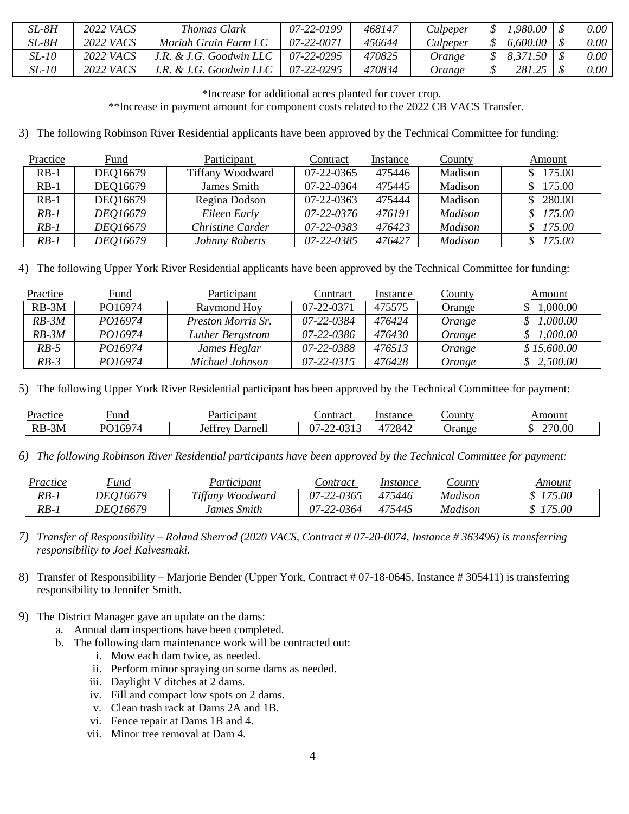| SL-8H | 2022 VACS        | <i>Thomas Clark</i>    | 07-22-0199       | 468147 | Culpeper | ,980.00  | $0.00\,$ |
|-------|------------------|------------------------|------------------|--------|----------|----------|----------|
| SL-8H | 2022 <i>VACS</i> | Moriah Grain Farm LC   | 07-22-0071       | 456644 | Culpeper | 6.600.00 | $0.00\,$ |
| SL-10 | 2022 VACS        | .R. & J.G. Goodwin LLC | $07 - 22 - 0295$ | 470825 | Orange   | 8,371.50 | $0.00\,$ |
| SL-10 | 2022 VACS        | .R. & J.G. Goodwin LLC | $07 - 22 - 0295$ | 470834 | Orange   | 281.25   | $0.00\,$ |

\*Increase for additional acres planted for cover crop.

\*\*Increase in payment amount for component costs related to the 2022 CB VACS Transfer.

3) The following Robinson River Residential applicants have been approved by the Technical Committee for funding:

| Practice | Fund     | Participant             | Contract   | Instance | <b>County</b> | Amount   |
|----------|----------|-------------------------|------------|----------|---------------|----------|
| $RB-1$   | DEQ16679 | <b>Tiffany Woodward</b> | 07-22-0365 | 475446   | Madison       | \$175.00 |
| $RB-1$   | DEQ16679 | James Smith             | 07-22-0364 | 475445   | Madison       | 175.00   |
| $RB-1$   | DEQ16679 | Regina Dodson           | 07-22-0363 | 475444   | Madison       | 280.00   |
| $RB-1$   | DE016679 | Eileen Early            | 07-22-0376 | 476191   | Madison       | \$175.00 |
| $RB-1$   | DEQ16679 | Christine Carder        | 07-22-0383 | 476423   | Madison       | 175.00   |
| $RB-1$   | DE016679 | Johnny Roberts          | 07-22-0385 | 476427   | Madison       | 175.00   |

4) The following Upper York River Residential applicants have been approved by the Technical Committee for funding:

| Practice | Fund    | Participant        | Contract         | Instance | County | Amount      |
|----------|---------|--------------------|------------------|----------|--------|-------------|
| $RB-3M$  | PO16974 | Raymond Hoy        | 07-22-0371       | 475575   | Orange | $0.0000$ .  |
| $RB-3M$  | PO16974 | Preston Morris Sr. | 07-22-0384       | 476424   | Orange | 1,000.00    |
| $RB-3M$  | PO16974 | Luther Bergstrom   | 07-22-0386       | 476430   | Orange | 1,000.00    |
| $RB-5$   | PO16974 | James Heglar       | 07-22-0388       | 476513   | Orange | \$15,600.00 |
| RB-3     | PO16974 | Michael Johnson    | $07 - 22 - 0315$ | 476428   | Orange | 2,500.00    |

5) The following Upper York River Residential participant has been approved by the Technical Committee for payment:

| Practice    | ∼und         | Participant                  | Contract             | Instance | _ounty | Amount |
|-------------|--------------|------------------------------|----------------------|----------|--------|--------|
| $RB-$<br>5M | .1697<br>D∩1 | $\sim$<br>Darnel.<br>Jeffrey | 0.212<br>07-1<br>--- | 172842   | Jrange | 270.00 |

*6) The following Robinson River Residential participants have been approved by the Technical Committee for payment:*

| Practice | 'und            | <b>Participant</b> | <i>Lontract</i> | Instance | <i>Lounty</i> | Amount |
|----------|-----------------|--------------------|-----------------|----------|---------------|--------|
| $RB-$    | <i>DEO16679</i> | Tiffany Woodward   | 07-22-0365      | 475446   | Madison       | 175.00 |
| $RB-$    | DE016679        | James Smith        | 07-22-0364      | 475445   | Madison       | 175.00 |

*7) Transfer of Responsibility – Roland Sherrod (2020 VACS, Contract # 07-20-0074, Instance # 363496) is transferring responsibility to Joel Kalvesmaki.* 

- 8) Transfer of Responsibility Marjorie Bender (Upper York, Contract # 07-18-0645, Instance # 305411) is transferring responsibility to Jennifer Smith.
- 9) The District Manager gave an update on the dams:
	- a. Annual dam inspections have been completed.
	- b. The following dam maintenance work will be contracted out:
		- i. Mow each dam twice, as needed.
		- ii. Perform minor spraying on some dams as needed.
		- iii. Daylight V ditches at 2 dams.
		- iv. Fill and compact low spots on 2 dams.
		- v. Clean trash rack at Dams 2A and 1B.
		- vi. Fence repair at Dams 1B and 4.
		- vii. Minor tree removal at Dam 4.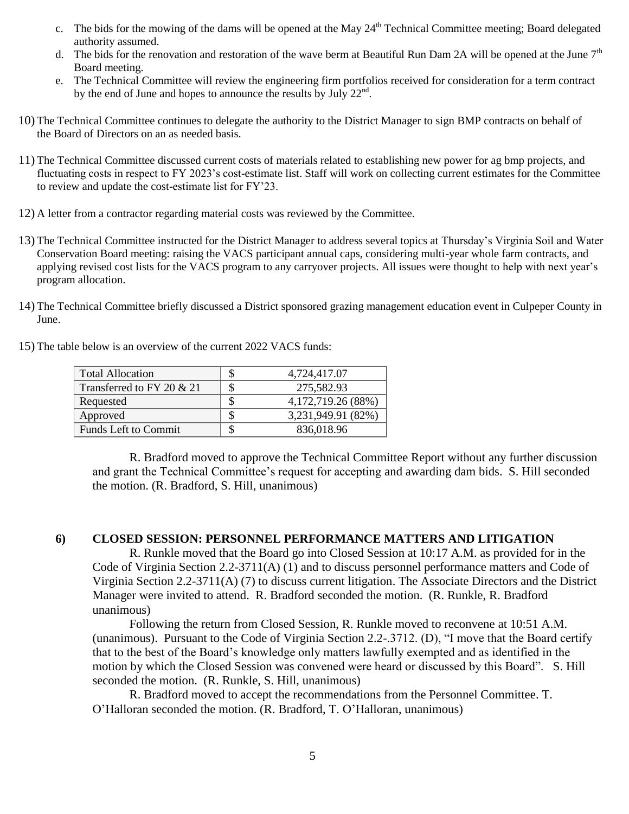- c. The bids for the mowing of the dams will be opened at the May  $24<sup>th</sup>$  Technical Committee meeting; Board delegated authority assumed.
- d. The bids for the renovation and restoration of the wave berm at Beautiful Run Dam 2A will be opened at the June  $7<sup>th</sup>$ Board meeting.
- e. The Technical Committee will review the engineering firm portfolios received for consideration for a term contract by the end of June and hopes to announce the results by July  $22^{nd}$ .
- 10) The Technical Committee continues to delegate the authority to the District Manager to sign BMP contracts on behalf of the Board of Directors on an as needed basis.
- 11) The Technical Committee discussed current costs of materials related to establishing new power for ag bmp projects, and fluctuating costs in respect to FY 2023's cost-estimate list. Staff will work on collecting current estimates for the Committee to review and update the cost-estimate list for FY'23.
- 12) A letter from a contractor regarding material costs was reviewed by the Committee.
- 13) The Technical Committee instructed for the District Manager to address several topics at Thursday's Virginia Soil and Water Conservation Board meeting: raising the VACS participant annual caps, considering multi-year whole farm contracts, and applying revised cost lists for the VACS program to any carryover projects. All issues were thought to help with next year's program allocation.
- 14) The Technical Committee briefly discussed a District sponsored grazing management education event in Culpeper County in June.
- 15) The table below is an overview of the current 2022 VACS funds:

| <b>Total Allocation</b>     | 4,724,417.07       |
|-----------------------------|--------------------|
| Transferred to FY 20 & 21   | 275,582.93         |
| Requested                   | 4,172,719.26 (88%) |
| Approved                    | 3,231,949.91 (82%) |
| <b>Funds Left to Commit</b> | 836,018.96         |

R. Bradford moved to approve the Technical Committee Report without any further discussion and grant the Technical Committee's request for accepting and awarding dam bids. S. Hill seconded the motion. (R. Bradford, S. Hill, unanimous)

## **6) CLOSED SESSION: PERSONNEL PERFORMANCE MATTERS AND LITIGATION**

R. Runkle moved that the Board go into Closed Session at 10:17 A.M. as provided for in the Code of Virginia Section 2.2-3711(A) (1) and to discuss personnel performance matters and Code of Virginia Section 2.2-3711(A) (7) to discuss current litigation. The Associate Directors and the District Manager were invited to attend. R. Bradford seconded the motion. (R. Runkle, R. Bradford unanimous)

Following the return from Closed Session, R. Runkle moved to reconvene at 10:51 A.M. (unanimous). Pursuant to the Code of Virginia Section 2.2-.3712. (D), "I move that the Board certify that to the best of the Board's knowledge only matters lawfully exempted and as identified in the motion by which the Closed Session was convened were heard or discussed by this Board". S. Hill seconded the motion. (R. Runkle, S. Hill, unanimous)

R. Bradford moved to accept the recommendations from the Personnel Committee. T. O'Halloran seconded the motion. (R. Bradford, T. O'Halloran, unanimous)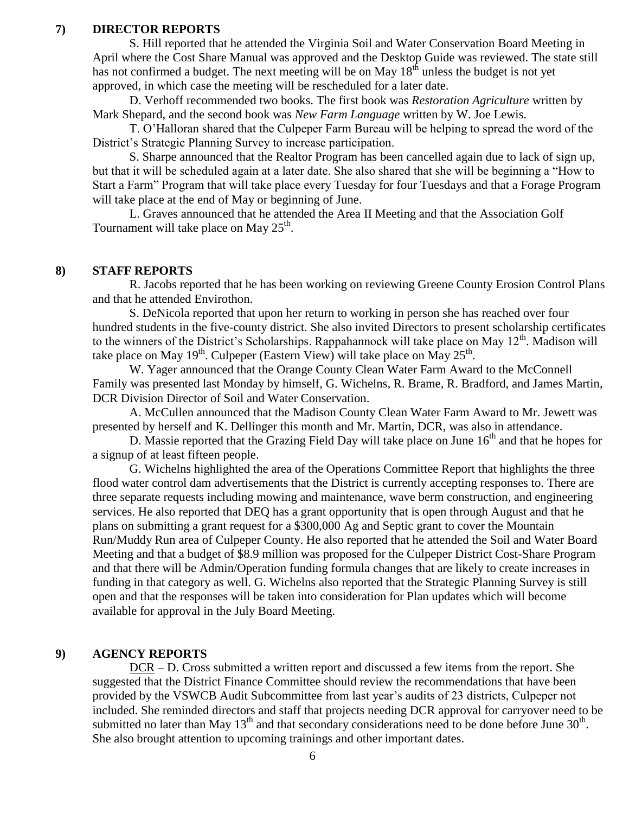### **7) DIRECTOR REPORTS**

S. Hill reported that he attended the Virginia Soil and Water Conservation Board Meeting in April where the Cost Share Manual was approved and the Desktop Guide was reviewed. The state still has not confirmed a budget. The next meeting will be on May  $18<sup>th</sup>$  unless the budget is not yet approved, in which case the meeting will be rescheduled for a later date.

D. Verhoff recommended two books. The first book was *Restoration Agriculture* written by Mark Shepard, and the second book was *New Farm Language* written by W. Joe Lewis.

T. O'Halloran shared that the Culpeper Farm Bureau will be helping to spread the word of the District's Strategic Planning Survey to increase participation.

S. Sharpe announced that the Realtor Program has been cancelled again due to lack of sign up, but that it will be scheduled again at a later date. She also shared that she will be beginning a "How to Start a Farm" Program that will take place every Tuesday for four Tuesdays and that a Forage Program will take place at the end of May or beginning of June.

L. Graves announced that he attended the Area II Meeting and that the Association Golf Tournament will take place on May  $25^{\text{th}}$ .

#### **8) STAFF REPORTS**

R. Jacobs reported that he has been working on reviewing Greene County Erosion Control Plans and that he attended Envirothon.

S. DeNicola reported that upon her return to working in person she has reached over four hundred students in the five-county district. She also invited Directors to present scholarship certificates to the winners of the District's Scholarships. Rappahannock will take place on May 12<sup>th</sup>. Madison will take place on May 19<sup>th</sup>. Culpeper (Eastern View) will take place on May 25<sup>th</sup>.

W. Yager announced that the Orange County Clean Water Farm Award to the McConnell Family was presented last Monday by himself, G. Wichelns, R. Brame, R. Bradford, and James Martin, DCR Division Director of Soil and Water Conservation.

A. McCullen announced that the Madison County Clean Water Farm Award to Mr. Jewett was presented by herself and K. Dellinger this month and Mr. Martin, DCR, was also in attendance.

D. Massie reported that the Grazing Field Day will take place on June  $16<sup>th</sup>$  and that he hopes for a signup of at least fifteen people.

G. Wichelns highlighted the area of the Operations Committee Report that highlights the three flood water control dam advertisements that the District is currently accepting responses to. There are three separate requests including mowing and maintenance, wave berm construction, and engineering services. He also reported that DEQ has a grant opportunity that is open through August and that he plans on submitting a grant request for a \$300,000 Ag and Septic grant to cover the Mountain Run/Muddy Run area of Culpeper County. He also reported that he attended the Soil and Water Board Meeting and that a budget of \$8.9 million was proposed for the Culpeper District Cost-Share Program and that there will be Admin/Operation funding formula changes that are likely to create increases in funding in that category as well. G. Wichelns also reported that the Strategic Planning Survey is still open and that the responses will be taken into consideration for Plan updates which will become available for approval in the July Board Meeting.

### **9) AGENCY REPORTS**

DCR – D. Cross submitted a written report and discussed a few items from the report. She suggested that the District Finance Committee should review the recommendations that have been provided by the VSWCB Audit Subcommittee from last year's audits of 23 districts, Culpeper not included. She reminded directors and staff that projects needing DCR approval for carryover need to be submitted no later than May  $13<sup>th</sup>$  and that secondary considerations need to be done before June  $30<sup>th</sup>$ . She also brought attention to upcoming trainings and other important dates.

6